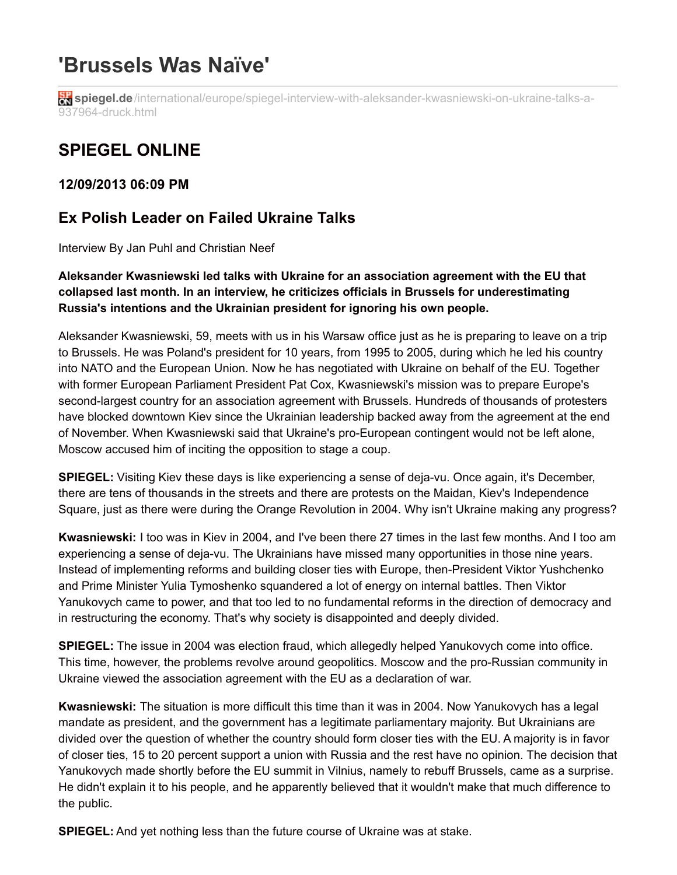# **'Brussels Was Naïve'**

**in spiegel.de**[/international/europe/spiegel-interview-with-aleksander-kwasniewski-on-ukraine-talks-a-](http://www.spiegel.de/international/europe/spiegel-interview-with-aleksander-kwasniewski-on-ukraine-talks-a-937964-druck.html)937964-druck.html

## **SPIEGEL ONLINE**

**12/09/2013 06:09 PM**

### **Ex Polish Leader on Failed Ukraine Talks**

Interview By Jan Puhl and Christian Neef

#### **Aleksander Kwasniewski led talks with Ukraine for an association agreement with the EU that collapsed last month. In an interview, he criticizes officials in Brussels for underestimating Russia's intentions and the Ukrainian president for ignoring his own people.**

Aleksander Kwasniewski, 59, meets with us in his Warsaw office just as he is preparing to leave on a trip to Brussels. He was Poland's president for 10 years, from 1995 to 2005, during which he led his country into NATO and the European Union. Now he has negotiated with Ukraine on behalf of the EU. Together with former European Parliament President Pat Cox, Kwasniewski's mission was to prepare Europe's second-largest country for an association agreement with Brussels. Hundreds of thousands of protesters have blocked downtown Kiev since the Ukrainian leadership backed away from the agreement at the end of November. When Kwasniewski said that Ukraine's pro-European contingent would not be left alone, Moscow accused him of inciting the opposition to stage a coup.

**SPIEGEL:** Visiting Kiev these days is like experiencing a sense of deja-vu. Once again, it's December, there are tens of thousands in the streets and there are protests on the Maidan, Kiev's Independence Square, just as there were during the Orange Revolution in 2004. Why isn't Ukraine making any progress?

**Kwasniewski:** I too was in Kiev in 2004, and I've been there 27 times in the last few months. And I too am experiencing a sense of deja-vu. The Ukrainians have missed many opportunities in those nine years. Instead of implementing reforms and building closer ties with Europe, then-President Viktor Yushchenko and Prime Minister Yulia Tymoshenko squandered a lot of energy on internal battles. Then Viktor Yanukovych came to power, and that too led to no fundamental reforms in the direction of democracy and in restructuring the economy. That's why society is disappointed and deeply divided.

**SPIEGEL:** The issue in 2004 was election fraud, which allegedly helped Yanukovych come into office. This time, however, the problems revolve around geopolitics. Moscow and the pro-Russian community in Ukraine viewed the association agreement with the EU as a declaration of war.

**Kwasniewski:** The situation is more difficult this time than it was in 2004. Now Yanukovych has a legal mandate as president, and the government has a legitimate parliamentary majority. But Ukrainians are divided over the question of whether the country should form closer ties with the EU. A majority is in favor of closer ties, 15 to 20 percent support a union with Russia and the rest have no opinion. The decision that Yanukovych made shortly before the EU summit in Vilnius, namely to rebuff Brussels, came as a surprise. He didn't explain it to his people, and he apparently believed that it wouldn't make that much difference to the public.

**SPIEGEL:** And yet nothing less than the future course of Ukraine was at stake.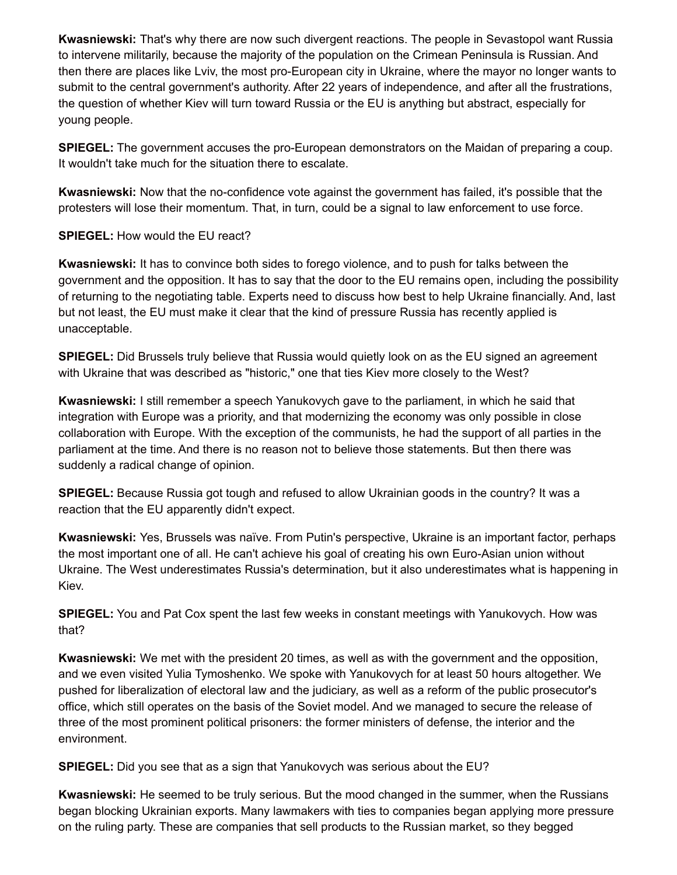**Kwasniewski:** That's why there are now such divergent reactions. The people in Sevastopol want Russia to intervene militarily, because the majority of the population on the Crimean Peninsula is Russian. And then there are places like Lviv, the most pro-European city in Ukraine, where the mayor no longer wants to submit to the central government's authority. After 22 years of independence, and after all the frustrations, the question of whether Kiev will turn toward Russia or the EU is anything but abstract, especially for young people.

**SPIEGEL:** The government accuses the pro-European demonstrators on the Maidan of preparing a coup. It wouldn't take much for the situation there to escalate.

**Kwasniewski:** Now that the no-confidence vote against the government has failed, it's possible that the protesters will lose their momentum. That, in turn, could be a signal to law enforcement to use force.

**SPIEGEL:** How would the EU react?

**Kwasniewski:** It has to convince both sides to forego violence, and to push for talks between the government and the opposition. It has to say that the door to the EU remains open, including the possibility of returning to the negotiating table. Experts need to discuss how best to help Ukraine financially. And, last but not least, the EU must make it clear that the kind of pressure Russia has recently applied is unacceptable.

**SPIEGEL:** Did Brussels truly believe that Russia would quietly look on as the EU signed an agreement with Ukraine that was described as "historic," one that ties Kiev more closely to the West?

**Kwasniewski:** I still remember a speech Yanukovych gave to the parliament, in which he said that integration with Europe was a priority, and that modernizing the economy was only possible in close collaboration with Europe. With the exception of the communists, he had the support of all parties in the parliament at the time. And there is no reason not to believe those statements. But then there was suddenly a radical change of opinion.

**SPIEGEL:** Because Russia got tough and refused to allow Ukrainian goods in the country? It was a reaction that the EU apparently didn't expect.

**Kwasniewski:** Yes, Brussels was naïve. From Putin's perspective, Ukraine is an important factor, perhaps the most important one of all. He can't achieve his goal of creating his own Euro-Asian union without Ukraine. The West underestimates Russia's determination, but it also underestimates what is happening in Kiev.

**SPIEGEL:** You and Pat Cox spent the last few weeks in constant meetings with Yanukovych. How was that?

**Kwasniewski:** We met with the president 20 times, as well as with the government and the opposition, and we even visited Yulia Tymoshenko. We spoke with Yanukovych for at least 50 hours altogether. We pushed for liberalization of electoral law and the judiciary, as well as a reform of the public prosecutor's office, which still operates on the basis of the Soviet model. And we managed to secure the release of three of the most prominent political prisoners: the former ministers of defense, the interior and the environment.

**SPIEGEL:** Did you see that as a sign that Yanukovych was serious about the EU?

**Kwasniewski:** He seemed to be truly serious. But the mood changed in the summer, when the Russians began blocking Ukrainian exports. Many lawmakers with ties to companies began applying more pressure on the ruling party. These are companies that sell products to the Russian market, so they begged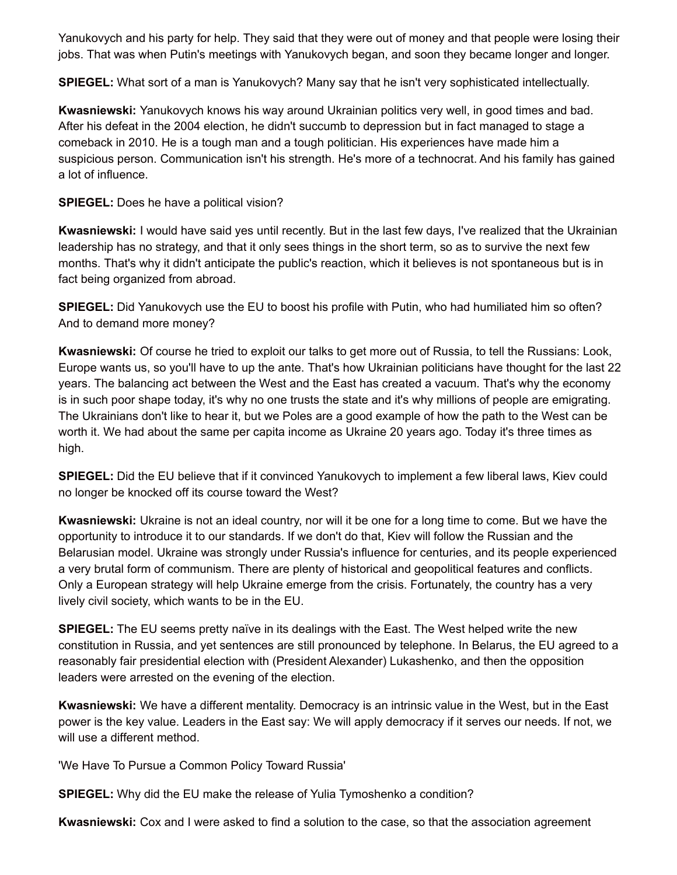Yanukovych and his party for help. They said that they were out of money and that people were losing their jobs. That was when Putin's meetings with Yanukovych began, and soon they became longer and longer.

**SPIEGEL:** What sort of a man is Yanukovych? Many say that he isn't very sophisticated intellectually.

**Kwasniewski:** Yanukovych knows his way around Ukrainian politics very well, in good times and bad. After his defeat in the 2004 election, he didn't succumb to depression but in fact managed to stage a comeback in 2010. He is a tough man and a tough politician. His experiences have made him a suspicious person. Communication isn't his strength. He's more of a technocrat. And his family has gained a lot of influence.

**SPIEGEL:** Does he have a political vision?

**Kwasniewski:** I would have said yes until recently. But in the last few days, I've realized that the Ukrainian leadership has no strategy, and that it only sees things in the short term, so as to survive the next few months. That's why it didn't anticipate the public's reaction, which it believes is not spontaneous but is in fact being organized from abroad.

**SPIEGEL:** Did Yanukovych use the EU to boost his profile with Putin, who had humiliated him so often? And to demand more money?

**Kwasniewski:** Of course he tried to exploit our talks to get more out of Russia, to tell the Russians: Look, Europe wants us, so you'll have to up the ante. That's how Ukrainian politicians have thought for the last 22 years. The balancing act between the West and the East has created a vacuum. That's why the economy is in such poor shape today, it's why no one trusts the state and it's why millions of people are emigrating. The Ukrainians don't like to hear it, but we Poles are a good example of how the path to the West can be worth it. We had about the same per capita income as Ukraine 20 years ago. Today it's three times as high.

**SPIEGEL:** Did the EU believe that if it convinced Yanukovych to implement a few liberal laws, Kiev could no longer be knocked off its course toward the West?

**Kwasniewski:** Ukraine is not an ideal country, nor will it be one for a long time to come. But we have the opportunity to introduce it to our standards. If we don't do that, Kiev will follow the Russian and the Belarusian model. Ukraine was strongly under Russia's influence for centuries, and its people experienced a very brutal form of communism. There are plenty of historical and geopolitical features and conflicts. Only a European strategy will help Ukraine emerge from the crisis. Fortunately, the country has a very lively civil society, which wants to be in the EU.

**SPIEGEL:** The EU seems pretty naïve in its dealings with the East. The West helped write the new constitution in Russia, and yet sentences are still pronounced by telephone. In Belarus, the EU agreed to a reasonably fair presidential election with (President Alexander) Lukashenko, and then the opposition leaders were arrested on the evening of the election.

**Kwasniewski:** We have a different mentality. Democracy is an intrinsic value in the West, but in the East power is the key value. Leaders in the East say: We will apply democracy if it serves our needs. If not, we will use a different method.

'We Have To Pursue a Common Policy Toward Russia'

**SPIEGEL:** Why did the EU make the release of Yulia Tymoshenko a condition?

**Kwasniewski:** Cox and I were asked to find a solution to the case, so that the association agreement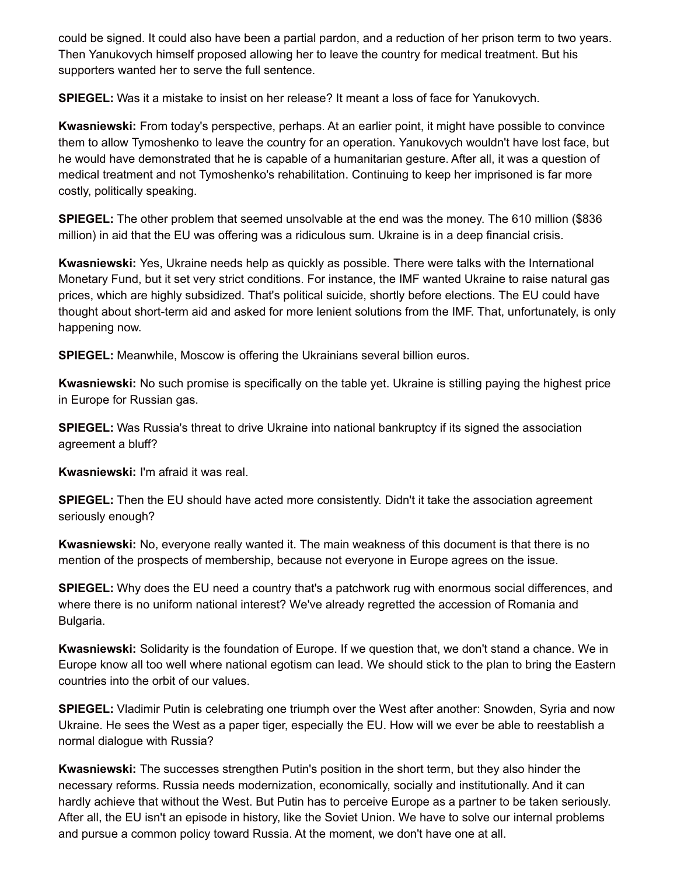could be signed. It could also have been a partial pardon, and a reduction of her prison term to two years. Then Yanukovych himself proposed allowing her to leave the country for medical treatment. But his supporters wanted her to serve the full sentence.

**SPIEGEL:** Was it a mistake to insist on her release? It meant a loss of face for Yanukovych.

**Kwasniewski:** From today's perspective, perhaps. At an earlier point, it might have possible to convince them to allow Tymoshenko to leave the country for an operation. Yanukovych wouldn't have lost face, but he would have demonstrated that he is capable of a humanitarian gesture. After all, it was a question of medical treatment and not Tymoshenko's rehabilitation. Continuing to keep her imprisoned is far more costly, politically speaking.

**SPIEGEL:** The other problem that seemed unsolvable at the end was the money. The 610 million (\$836 million) in aid that the EU was offering was a ridiculous sum. Ukraine is in a deep financial crisis.

**Kwasniewski:** Yes, Ukraine needs help as quickly as possible. There were talks with the International Monetary Fund, but it set very strict conditions. For instance, the IMF wanted Ukraine to raise natural gas prices, which are highly subsidized. That's political suicide, shortly before elections. The EU could have thought about short-term aid and asked for more lenient solutions from the IMF. That, unfortunately, is only happening now.

**SPIEGEL:** Meanwhile, Moscow is offering the Ukrainians several billion euros.

**Kwasniewski:** No such promise is specifically on the table yet. Ukraine is stilling paying the highest price in Europe for Russian gas.

**SPIEGEL:** Was Russia's threat to drive Ukraine into national bankruptcy if its signed the association agreement a bluff?

**Kwasniewski:** I'm afraid it was real.

**SPIEGEL:** Then the EU should have acted more consistently. Didn't it take the association agreement seriously enough?

**Kwasniewski:** No, everyone really wanted it. The main weakness of this document is that there is no mention of the prospects of membership, because not everyone in Europe agrees on the issue.

**SPIEGEL:** Why does the EU need a country that's a patchwork rug with enormous social differences, and where there is no uniform national interest? We've already regretted the accession of Romania and Bulgaria.

**Kwasniewski:** Solidarity is the foundation of Europe. If we question that, we don't stand a chance. We in Europe know all too well where national egotism can lead. We should stick to the plan to bring the Eastern countries into the orbit of our values.

**SPIEGEL:** Vladimir Putin is celebrating one triumph over the West after another: Snowden, Syria and now Ukraine. He sees the West as a paper tiger, especially the EU. How will we ever be able to reestablish a normal dialogue with Russia?

**Kwasniewski:** The successes strengthen Putin's position in the short term, but they also hinder the necessary reforms. Russia needs modernization, economically, socially and institutionally. And it can hardly achieve that without the West. But Putin has to perceive Europe as a partner to be taken seriously. After all, the EU isn't an episode in history, like the Soviet Union. We have to solve our internal problems and pursue a common policy toward Russia. At the moment, we don't have one at all.